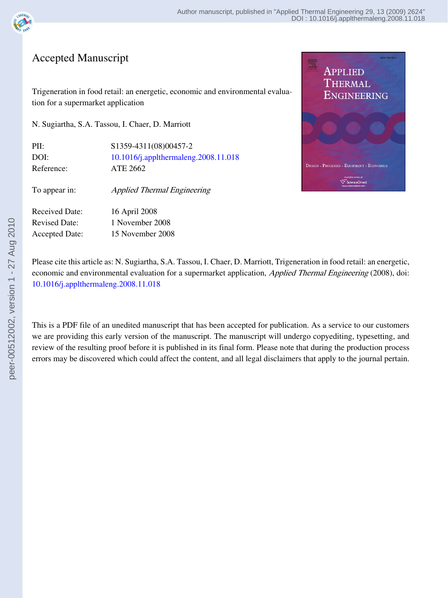

## Accepted Manuscript

Trigeneration in food retail: an energetic, economic and environmental evalua‐ tion for a supermarket application

N. Sugiartha, S.A. Tassou, I. Chaer, D. Marriott

| PII:       | \$1359-4311(08)00457-2               |
|------------|--------------------------------------|
| DOI:       | 10.1016/j.applthermaleng.2008.11.018 |
| Reference: | ATE 2662                             |
|            |                                      |

To appear in: Applied Thermal Engineering

Received Date: 16 April 2008 Revised Date: 1 November 2008 Accepted Date: 15 November 2008



Please cite this article as: N. Sugiartha, S.A. Tassou, I. Chaer, D. Marriott, Trigeneration in food retail: an energetic, economic and environmental evaluation for a supermarket application, *Applied Thermal Engineering* (2008), doi: [10.1016/j.applthermaleng.2008.11.018](http://dx.doi.org/10.1016/j.applthermaleng.2008.11.018)

This is a PDF file of an unedited manuscript that has been accepted for publication. As a service to our customers we are providing this early version of the manuscript. The manuscript will undergo copyediting, typesetting, and review of the resulting proof before it is published in its final form. Please note that during the production process errors may be discovered which could affect the content, and all legal disclaimers that apply to the journal pertain.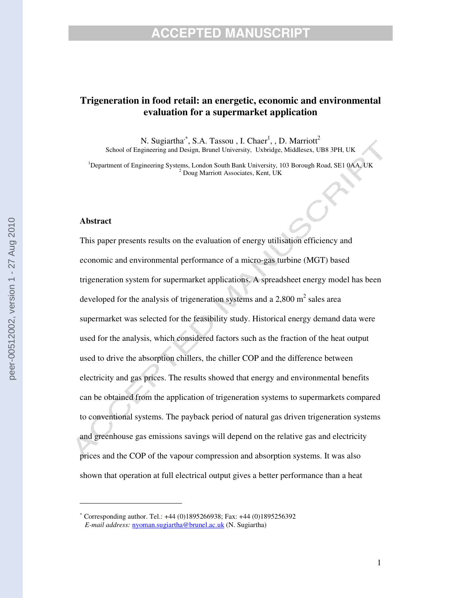## **Trigeneration in food retail: an energetic, economic and environmental evaluation for a supermarket application**

N. Sugiartha<sup>,\*</sup>, S.A. Tassou, I. Chaer<sup>1</sup>, , D. Marriott<sup>2</sup> School of Engineering and Design, Brunel University, Uxbridge, Middlesex, UB8 3PH, UK

<sup>1</sup>Department of Engineering Systems, London South Bank University, 103 Borough Road, SE1 0AA, UK <sup>2</sup> Doug Marriott Associates, Kent, UK

#### **Abstract**

This paper presents results on the evaluation of energy utilisation efficiency and economic and environmental performance of a micro-gas turbine (MGT) based trigeneration system for supermarket applications. A spreadsheet energy model has been developed for the analysis of trigeneration systems and a 2,800 m<sup>2</sup> sales area supermarket was selected for the feasibility study. Historical energy demand data were used for the analysis, which considered factors such as the fraction of the heat output used to drive the absorption chillers, the chiller COP and the difference between electricity and gas prices. The results showed that energy and environmental benefits can be obtained from the application of trigeneration systems to supermarkets compared to conventional systems. The payback period of natural gas driven trigeneration systems and greenhouse gas emissions savings will depend on the relative gas and electricity prices and the COP of the vapour compression and absorption systems. It was also shown that operation at full electrical output gives a better performance than a heat

<sup>∗</sup> Corresponding author. Tel.: +44 (0)1895266938; Fax: +44 (0)1895256392 *E-mail address:* nyoman.sugiartha@brunel.ac.uk (N. Sugiartha)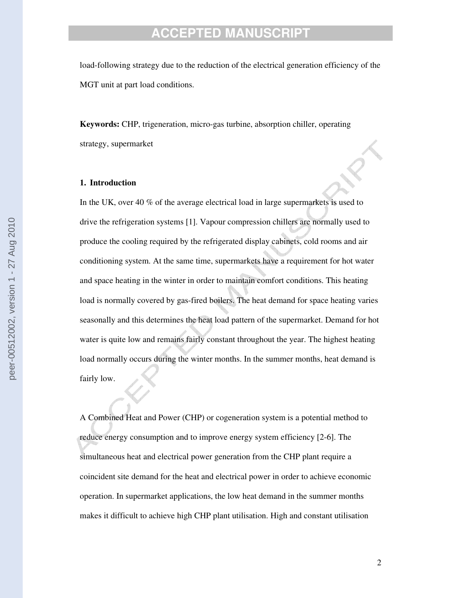load-following strategy due to the reduction of the electrical generation efficiency of the MGT unit at part load conditions.

**Keywords:** CHP, trigeneration, micro-gas turbine, absorption chiller, operating strategy, supermarket

#### **1. Introduction**

In the UK, over 40 % of the average electrical load in large supermarkets is used to drive the refrigeration systems [1]. Vapour compression chillers are normally used to produce the cooling required by the refrigerated display cabinets, cold rooms and air conditioning system. At the same time, supermarkets have a requirement for hot water and space heating in the winter in order to maintain comfort conditions. This heating load is normally covered by gas-fired boilers. The heat demand for space heating varies seasonally and this determines the heat load pattern of the supermarket. Demand for hot water is quite low and remains fairly constant throughout the year. The highest heating load normally occurs during the winter months. In the summer months, heat demand is fairly low.

A Combined Heat and Power (CHP) or cogeneration system is a potential method to reduce energy consumption and to improve energy system efficiency [2-6]. The simultaneous heat and electrical power generation from the CHP plant require a coincident site demand for the heat and electrical power in order to achieve economic operation. In supermarket applications, the low heat demand in the summer months makes it difficult to achieve high CHP plant utilisation. High and constant utilisation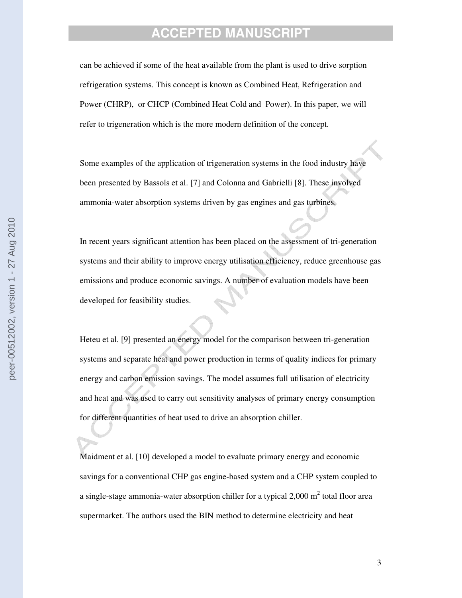can be achieved if some of the heat available from the plant is used to drive sorption refrigeration systems. This concept is known as Combined Heat, Refrigeration and Power (CHRP), or CHCP (Combined Heat Cold and Power). In this paper, we will refer to trigeneration which is the more modern definition of the concept.

Some examples of the application of trigeneration systems in the food industry have been presented by Bassols et al. [7] and Colonna and Gabrielli [8]. These involved ammonia-water absorption systems driven by gas engines and gas turbines.

In recent years significant attention has been placed on the assessment of tri-generation systems and their ability to improve energy utilisation efficiency, reduce greenhouse gas emissions and produce economic savings. A number of evaluation models have been developed for feasibility studies.

Heteu et al. [9] presented an energy model for the comparison between tri-generation systems and separate heat and power production in terms of quality indices for primary energy and carbon emission savings. The model assumes full utilisation of electricity and heat and was used to carry out sensitivity analyses of primary energy consumption for different quantities of heat used to drive an absorption chiller.

Maidment et al. [10] developed a model to evaluate primary energy and economic savings for a conventional CHP gas engine-based system and a CHP system coupled to a single-stage ammonia-water absorption chiller for a typical 2,000  $m^2$  total floor area supermarket. The authors used the BIN method to determine electricity and heat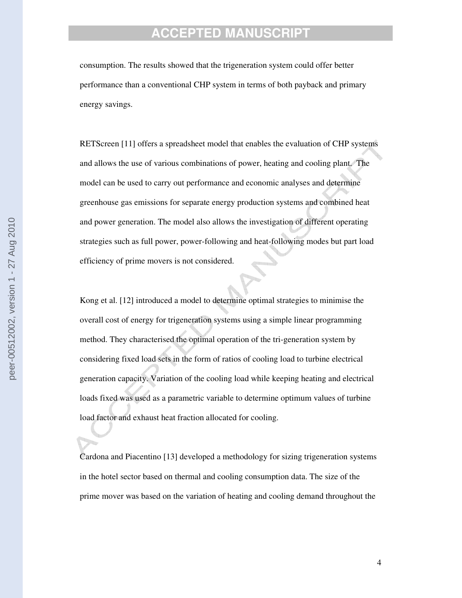consumption. The results showed that the trigeneration system could offer better performance than a conventional CHP system in terms of both payback and primary energy savings.

RETScreen [11] offers a spreadsheet model that enables the evaluation of CHP systems and allows the use of various combinations of power, heating and cooling plant. The model can be used to carry out performance and economic analyses and determine greenhouse gas emissions for separate energy production systems and combined heat and power generation. The model also allows the investigation of different operating strategies such as full power, power-following and heat-following modes but part load efficiency of prime movers is not considered.

Kong et al. [12] introduced a model to determine optimal strategies to minimise the overall cost of energy for trigeneration systems using a simple linear programming method. They characterised the optimal operation of the tri-generation system by considering fixed load sets in the form of ratios of cooling load to turbine electrical generation capacity. Variation of the cooling load while keeping heating and electrical loads fixed was used as a parametric variable to determine optimum values of turbine load factor and exhaust heat fraction allocated for cooling.

Cardona and Piacentino [13] developed a methodology for sizing trigeneration systems in the hotel sector based on thermal and cooling consumption data. The size of the prime mover was based on the variation of heating and cooling demand throughout the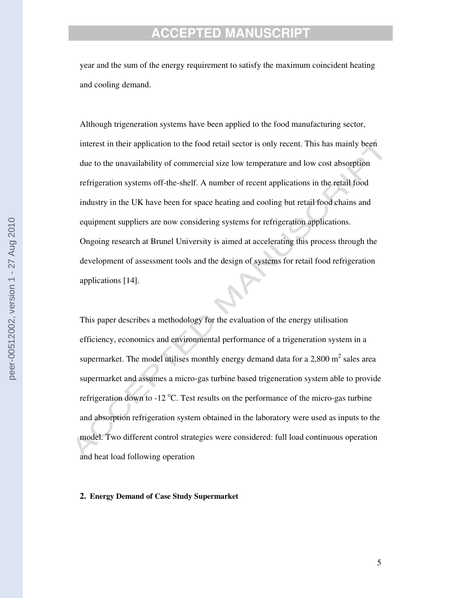year and the sum of the energy requirement to satisfy the maximum coincident heating and cooling demand.

Although trigeneration systems have been applied to the food manufacturing sector, interest in their application to the food retail sector is only recent. This has mainly been due to the unavailability of commercial size low temperature and low cost absorption refrigeration systems off-the-shelf. A number of recent applications in the retail food industry in the UK have been for space heating and cooling but retail food chains and equipment suppliers are now considering systems for refrigeration applications. Ongoing research at Brunel University is aimed at accelerating this process through the development of assessment tools and the design of systems for retail food refrigeration applications [14].

This paper describes a methodology for the evaluation of the energy utilisation efficiency, economics and environmental performance of a trigeneration system in a supermarket. The model utilises monthly energy demand data for a 2,800  $m^2$  sales area supermarket and assumes a micro-gas turbine based trigeneration system able to provide refrigeration down to -12  $^{\circ}$ C. Test results on the performance of the micro-gas turbine and absorption refrigeration system obtained in the laboratory were used as inputs to the model. Two different control strategies were considered: full load continuous operation and heat load following operation

#### **2. Energy Demand of Case Study Supermarket**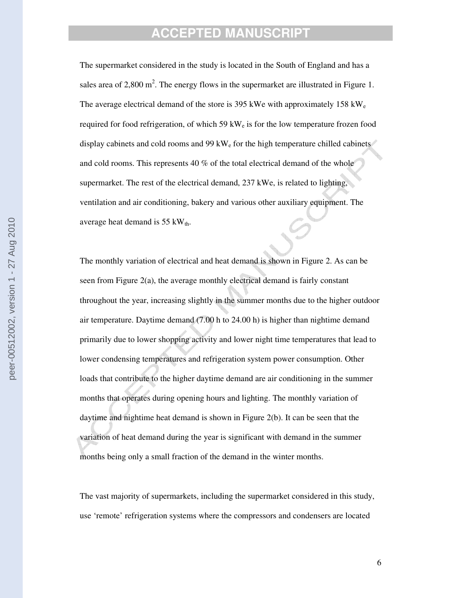The supermarket considered in the study is located in the South of England and has a sales area of 2,800 m<sup>2</sup>. The energy flows in the supermarket are illustrated in Figure 1. The average electrical demand of the store is 395 kWe with approximately 158 kW<sub>e</sub> required for food refrigeration, of which  $59 \text{ kW}_e$  is for the low temperature frozen food display cabinets and cold rooms and  $99 \text{ kW}$  for the high temperature chilled cabinets and cold rooms. This represents 40 % of the total electrical demand of the whole supermarket. The rest of the electrical demand, 237 kWe, is related to lighting, ventilation and air conditioning, bakery and various other auxiliary equipment. The average heat demand is  $55 \text{ kW}_{th}$ .

The monthly variation of electrical and heat demand is shown in Figure 2. As can be seen from Figure 2(a), the average monthly electrical demand is fairly constant throughout the year, increasing slightly in the summer months due to the higher outdoor air temperature. Daytime demand (7.00 h to 24.00 h) is higher than nightime demand primarily due to lower shopping activity and lower night time temperatures that lead to lower condensing temperatures and refrigeration system power consumption. Other loads that contribute to the higher daytime demand are air conditioning in the summer months that operates during opening hours and lighting. The monthly variation of daytime and nightime heat demand is shown in Figure 2(b). It can be seen that the variation of heat demand during the year is significant with demand in the summer months being only a small fraction of the demand in the winter months.

The vast majority of supermarkets, including the supermarket considered in this study, use 'remote' refrigeration systems where the compressors and condensers are located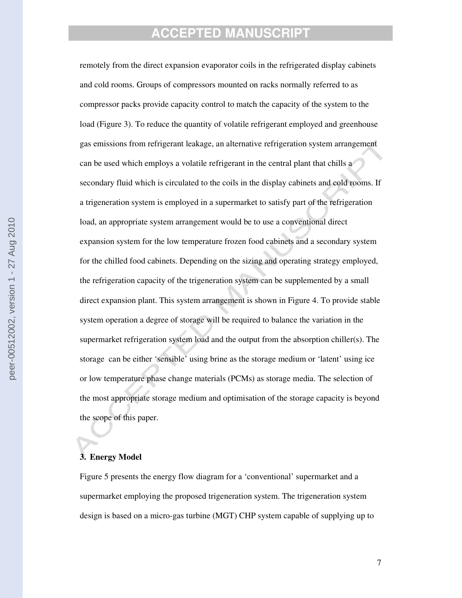remotely from the direct expansion evaporator coils in the refrigerated display cabinets and cold rooms. Groups of compressors mounted on racks normally referred to as compressor packs provide capacity control to match the capacity of the system to the load (Figure 3). To reduce the quantity of volatile refrigerant employed and greenhouse gas emissions from refrigerant leakage, an alternative refrigeration system arrangement can be used which employs a volatile refrigerant in the central plant that chills a secondary fluid which is circulated to the coils in the display cabinets and cold rooms. If a trigeneration system is employed in a supermarket to satisfy part of the refrigeration load, an appropriate system arrangement would be to use a conventional direct expansion system for the low temperature frozen food cabinets and a secondary system for the chilled food cabinets. Depending on the sizing and operating strategy employed, the refrigeration capacity of the trigeneration system can be supplemented by a small direct expansion plant. This system arrangement is shown in Figure 4. To provide stable system operation a degree of storage will be required to balance the variation in the supermarket refrigeration system load and the output from the absorption chiller(s). The storage can be either 'sensible' using brine as the storage medium or 'latent' using ice or low temperature phase change materials (PCMs) as storage media. The selection of the most appropriate storage medium and optimisation of the storage capacity is beyond the scope of this paper.

### **3. Energy Model**

Figure 5 presents the energy flow diagram for a 'conventional' supermarket and a supermarket employing the proposed trigeneration system. The trigeneration system design is based on a micro-gas turbine (MGT) CHP system capable of supplying up to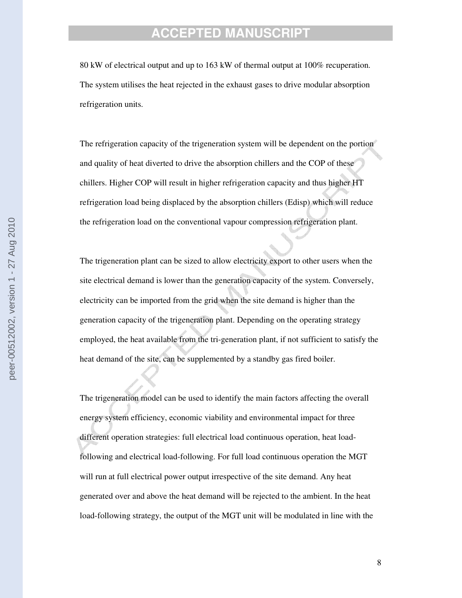80 kW of electrical output and up to 163 kW of thermal output at 100% recuperation. The system utilises the heat rejected in the exhaust gases to drive modular absorption refrigeration units.

The refrigeration capacity of the trigeneration system will be dependent on the portion and quality of heat diverted to drive the absorption chillers and the COP of these chillers. Higher COP will result in higher refrigeration capacity and thus higher HT refrigeration load being displaced by the absorption chillers (Edisp) which will reduce the refrigeration load on the conventional vapour compression refrigeration plant.

The trigeneration plant can be sized to allow electricity export to other users when the site electrical demand is lower than the generation capacity of the system. Conversely, electricity can be imported from the grid when the site demand is higher than the generation capacity of the trigeneration plant. Depending on the operating strategy employed, the heat available from the tri-generation plant, if not sufficient to satisfy the heat demand of the site, can be supplemented by a standby gas fired boiler.

The trigeneration model can be used to identify the main factors affecting the overall energy system efficiency, economic viability and environmental impact for three different operation strategies: full electrical load continuous operation, heat loadfollowing and electrical load-following. For full load continuous operation the MGT will run at full electrical power output irrespective of the site demand. Any heat generated over and above the heat demand will be rejected to the ambient. In the heat load-following strategy, the output of the MGT unit will be modulated in line with the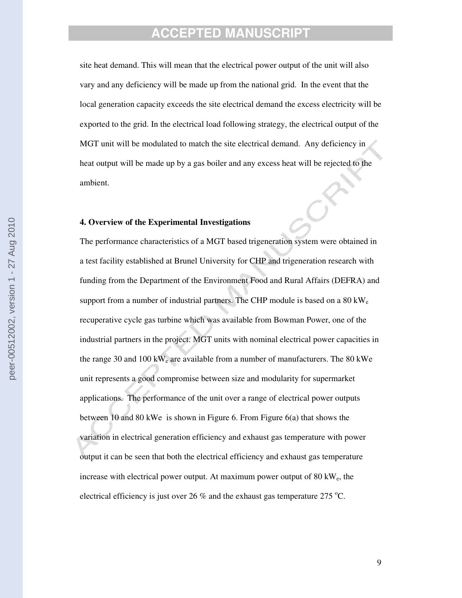site heat demand. This will mean that the electrical power output of the unit will also vary and any deficiency will be made up from the national grid. In the event that the local generation capacity exceeds the site electrical demand the excess electricity will be exported to the grid. In the electrical load following strategy, the electrical output of the MGT unit will be modulated to match the site electrical demand. Any deficiency in heat output will be made up by a gas boiler and any excess heat will be rejected to the ambient.

### **4. Overview of the Experimental Investigations**

The performance characteristics of a MGT based trigeneration system were obtained in a test facility established at Brunel University for CHP and trigeneration research with funding from the Department of the Environment Food and Rural Affairs (DEFRA) and support from a number of industrial partners. The CHP module is based on a  $80 \text{ kW}_e$ recuperative cycle gas turbine which was available from Bowman Power, one of the industrial partners in the project. MGT units with nominal electrical power capacities in the range 30 and 100 kW<sub>e</sub> are available from a number of manufacturers. The 80 kWe unit represents a good compromise between size and modularity for supermarket applications. The performance of the unit over a range of electrical power outputs between 10 and 80 kWe is shown in Figure 6. From Figure 6(a) that shows the variation in electrical generation efficiency and exhaust gas temperature with power output it can be seen that both the electrical efficiency and exhaust gas temperature increase with electrical power output. At maximum power output of  $80 \text{ kW}_e$ , the electrical efficiency is just over 26 % and the exhaust gas temperature 275 °C.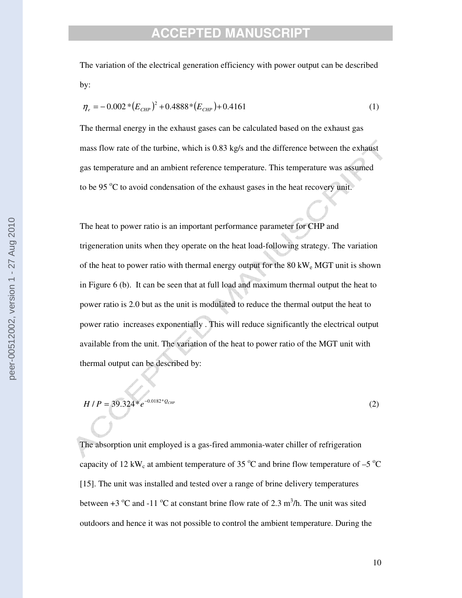The variation of the electrical generation efficiency with power output can be described by:

$$
\eta_e = -0.002 * (E_{CHP})^2 + 0.4888 * (E_{CHP}) + 0.4161
$$
\n(1)

The thermal energy in the exhaust gases can be calculated based on the exhaust gas mass flow rate of the turbine, which is 0.83 kg/s and the difference between the exhaust gas temperature and an ambient reference temperature. This temperature was assumed to be 95 °C to avoid condensation of the exhaust gases in the heat recovery unit.

The heat to power ratio is an important performance parameter for CHP and trigeneration units when they operate on the heat load-following strategy. The variation of the heat to power ratio with thermal energy output for the  $80 \, \text{kW}_e \, \text{MGT}$  unit is shown in Figure 6 (b). It can be seen that at full load and maximum thermal output the heat to power ratio is 2.0 but as the unit is modulated to reduce the thermal output the heat to power ratio increases exponentially . This will reduce significantly the electrical output available from the unit. The variation of the heat to power ratio of the MGT unit with thermal output can be described by:

$$
H/P = 39.324 \cdot e^{-0.0182 \cdot \nu} Q_{CHP}
$$
 (2)

The absorption unit employed is a gas-fired ammonia-water chiller of refrigeration capacity of 12 kW<sub>c</sub> at ambient temperature of 35  $\mathrm{^{\circ}C}$  and brine flow temperature of –5  $\mathrm{^{\circ}C}$ [15]. The unit was installed and tested over a range of brine delivery temperatures between  $+3$  °C and  $-11$  °C at constant brine flow rate of 2.3 m<sup>3</sup>/h. The unit was sited outdoors and hence it was not possible to control the ambient temperature. During the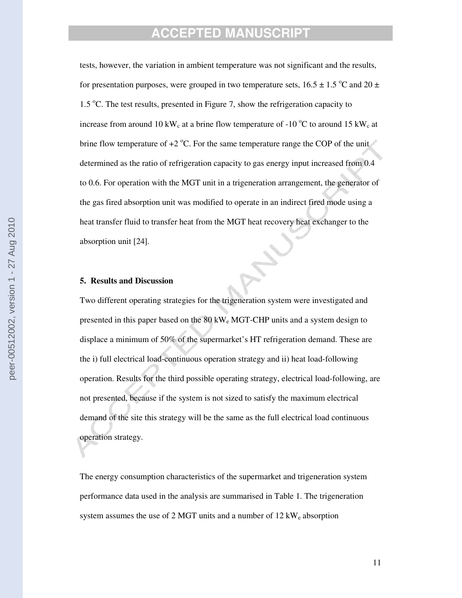tests, however, the variation in ambient temperature was not significant and the results, for presentation purposes, were grouped in two temperature sets,  $16.5 \pm 1.5$  °C and  $20 \pm 1.5$ 1.5 °C. The test results, presented in Figure 7, show the refrigeration capacity to increase from around 10 kW<sub>c</sub> at a brine flow temperature of -10  $^{\circ}$ C to around 15 kW<sub>c</sub> at brine flow temperature of  $+2$  °C. For the same temperature range the COP of the unit determined as the ratio of refrigeration capacity to gas energy input increased from 0.4 to 0.6. For operation with the MGT unit in a trigeneration arrangement, the generator of the gas fired absorption unit was modified to operate in an indirect fired mode using a heat transfer fluid to transfer heat from the MGT heat recovery heat exchanger to the absorption unit [24].

#### **5. Results and Discussion**

Two different operating strategies for the trigeneration system were investigated and presented in this paper based on the 80 kW<sub>e</sub> MGT-CHP units and a system design to displace a minimum of 50% of the supermarket's HT refrigeration demand. These are the i) full electrical load-continuous operation strategy and ii) heat load-following operation. Results for the third possible operating strategy, electrical load-following, are not presented, because if the system is not sized to satisfy the maximum electrical demand of the site this strategy will be the same as the full electrical load continuous operation strategy.

The energy consumption characteristics of the supermarket and trigeneration system performance data used in the analysis are summarised in Table 1. The trigeneration system assumes the use of 2 MGT units and a number of  $12 \text{ kW}_e$  absorption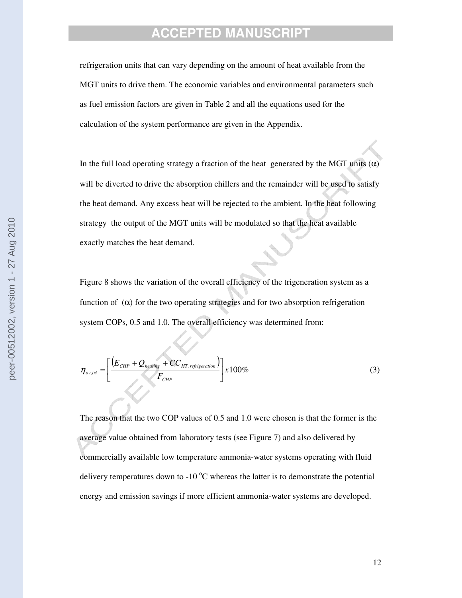refrigeration units that can vary depending on the amount of heat available from the MGT units to drive them. The economic variables and environmental parameters such as fuel emission factors are given in Table 2 and all the equations used for the calculation of the system performance are given in the Appendix.

In the full load operating strategy a fraction of the heat generated by the MGT units  $(\alpha)$ will be diverted to drive the absorption chillers and the remainder will be used to satisfy the heat demand. Any excess heat will be rejected to the ambient. In the heat following strategy the output of the MGT units will be modulated so that the heat available exactly matches the heat demand.

Figure 8 shows the variation of the overall efficiency of the trigeneration system as a function of  $(\alpha)$  for the two operating strategies and for two absorption refrigeration system COPs, 0.5 and 1.0. The overall efficiency was determined from:

$$
\eta_{ov,tri} = \left[ \frac{\left( E_{CHP} + Q_{heating} + CC_{HT,refrigeration} \right)}{F_{CHP}} \right] \times 100\%
$$
\n(3)

The reason that the two COP values of 0.5 and 1.0 were chosen is that the former is the average value obtained from laboratory tests (see Figure 7) and also delivered by commercially available low temperature ammonia-water systems operating with fluid delivery temperatures down to -10  $^{\circ}$ C whereas the latter is to demonstrate the potential energy and emission savings if more efficient ammonia-water systems are developed.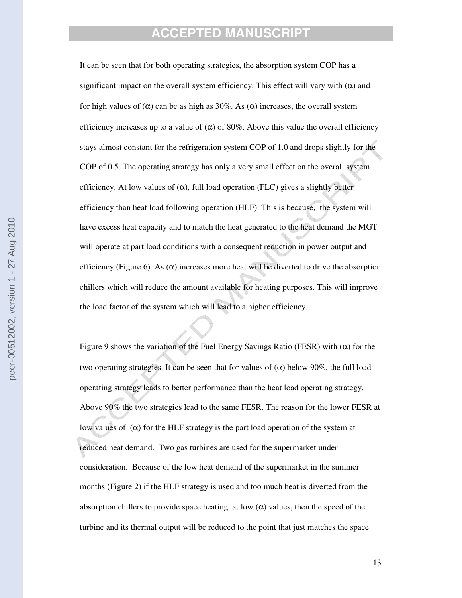It can be seen that for both operating strategies, the absorption system COP has a significant impact on the overall system efficiency. This effect will vary with  $(\alpha)$  and for high values of  $(\alpha)$  can be as high as 30%. As  $(\alpha)$  increases, the overall system efficiency increases up to a value of  $(\alpha)$  of 80%. Above this value the overall efficiency stays almost constant for the refrigeration system COP of 1.0 and drops slightly for the COP of 0.5. The operating strategy has only a very small effect on the overall system efficiency. At low values of  $(\alpha)$ , full load operation (FLC) gives a slightly better efficiency than heat load following operation (HLF). This is because, the system will have excess heat capacity and to match the heat generated to the heat demand the MGT will operate at part load conditions with a consequent reduction in power output and efficiency (Figure 6). As  $(\alpha)$  increases more heat will be diverted to drive the absorption chillers which will reduce the amount available for heating purposes. This will improve the load factor of the system which will lead to a higher efficiency.

Figure 9 shows the variation of the Fuel Energy Savings Ratio (FESR) with  $(α)$  for the two operating strategies. It can be seen that for values of  $(\alpha)$  below 90%, the full load operating strategy leads to better performance than the heat load operating strategy. Above 90% the two strategies lead to the same FESR. The reason for the lower FESR at low values of (α) for the HLF strategy is the part load operation of the system at reduced heat demand. Two gas turbines are used for the supermarket under consideration. Because of the low heat demand of the supermarket in the summer months (Figure 2) if the HLF strategy is used and too much heat is diverted from the absorption chillers to provide space heating at low  $(\alpha)$  values, then the speed of the turbine and its thermal output will be reduced to the point that just matches the space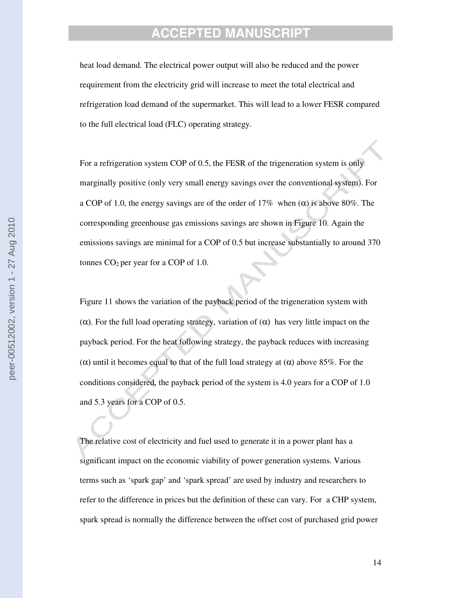heat load demand. The electrical power output will also be reduced and the power requirement from the electricity grid will increase to meet the total electrical and refrigeration load demand of the supermarket. This will lead to a lower FESR compared to the full electrical load (FLC) operating strategy.

For a refrigeration system COP of 0.5, the FESR of the trigeneration system is only marginally positive (only very small energy savings over the conventional system). For a COP of 1.0, the energy savings are of the order of 17% when  $(\alpha)$  is above 80%. The corresponding greenhouse gas emissions savings are shown in Figure 10. Again the emissions savings are minimal for a COP of 0.5 but increase substantially to around 370 tonnes  $CO<sub>2</sub>$  per year for a COP of 1.0.

Figure 11 shows the variation of the payback period of the trigeneration system with (α). For the full load operating strategy, variation of (α) has very little impact on the payback period. For the heat following strategy, the payback reduces with increasing (α) until it becomes equal to that of the full load strategy at  $(α)$  above 85%. For the conditions considered, the payback period of the system is 4.0 years for a COP of 1.0 and 5.3 years for a COP of 0.5.

The relative cost of electricity and fuel used to generate it in a power plant has a significant impact on the economic viability of power generation systems. Various terms such as 'spark gap' and 'spark spread' are used by industry and researchers to refer to the difference in prices but the definition of these can vary. For a CHP system, spark spread is normally the difference between the offset cost of purchased grid power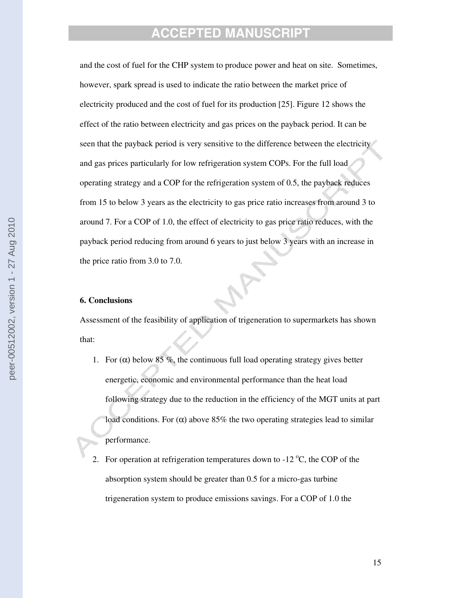and the cost of fuel for the CHP system to produce power and heat on site. Sometimes, however, spark spread is used to indicate the ratio between the market price of electricity produced and the cost of fuel for its production [25]. Figure 12 shows the effect of the ratio between electricity and gas prices on the payback period. It can be seen that the payback period is very sensitive to the difference between the electricity and gas prices particularly for low refrigeration system COPs. For the full load operating strategy and a COP for the refrigeration system of 0.5, the payback reduces from 15 to below 3 years as the electricity to gas price ratio increases from around 3 to around 7. For a COP of 1.0, the effect of electricity to gas price ratio reduces, with the payback period reducing from around 6 years to just below 3 years with an increase in the price ratio from 3.0 to 7.0.

### **6. Conclusions**

Assessment of the feasibility of application of trigeneration to supermarkets has shown that:

- 1. For  $(\alpha)$  below 85 %, the continuous full load operating strategy gives better energetic, economic and environmental performance than the heat load following strategy due to the reduction in the efficiency of the MGT units at part load conditions. For  $(\alpha)$  above 85% the two operating strategies lead to similar performance.
- 2. For operation at refrigeration temperatures down to  $-12$  °C, the COP of the absorption system should be greater than 0.5 for a micro-gas turbine trigeneration system to produce emissions savings. For a COP of 1.0 the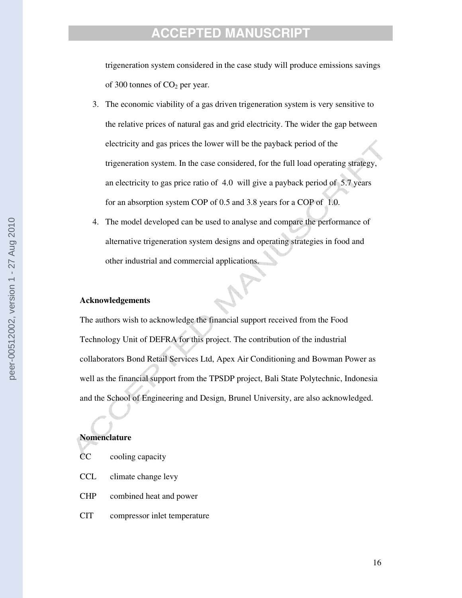trigeneration system considered in the case study will produce emissions savings of 300 tonnes of  $CO<sub>2</sub>$  per year.

- 3. The economic viability of a gas driven trigeneration system is very sensitive to the relative prices of natural gas and grid electricity. The wider the gap between electricity and gas prices the lower will be the payback period of the trigeneration system. In the case considered, for the full load operating strategy, an electricity to gas price ratio of 4.0 will give a payback period of 5.7 years for an absorption system COP of 0.5 and 3.8 years for a COP of 1.0.
- 4. The model developed can be used to analyse and compare the performance of alternative trigeneration system designs and operating strategies in food and other industrial and commercial applications.

### **Acknowledgements**

The authors wish to acknowledge the financial support received from the Food Technology Unit of DEFRA for this project. The contribution of the industrial collaborators Bond Retail Services Ltd, Apex Air Conditioning and Bowman Power as well as the financial support from the TPSDP project, Bali State Polytechnic, Indonesia and the School of Engineering and Design, Brunel University, are also acknowledged.

#### **Nomenclature**

- CC cooling capacity
- CCL climate change levy
- CHP combined heat and power
- CIT compressor inlet temperature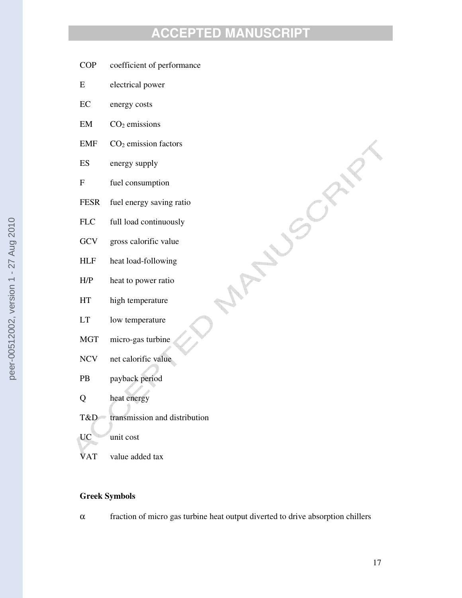**MANUSCRIPT** 

- COP coefficient of performance
- E electrical power
- EC energy costs
- $EM$   $CO<sub>2</sub>$  emissions
- EMF  $CO<sub>2</sub>$  emission factors
- ES energy supply
- F fuel consumption
- FESR fuel energy saving ratio
- FLC full load continuously
- GCV gross calorific value
- HLF heat load-following
- H/P heat to power ratio
- HT high temperature
- LT low temperature
- MGT micro-gas turbine
- NCV net calorific value
- PB payback period
- Q heat energy
- T&D transmission and distribution
- UC unit cost
- VAT value added tax

### **Greek Symbols**

 $\alpha$  fraction of micro gas turbine heat output diverted to drive absorption chillers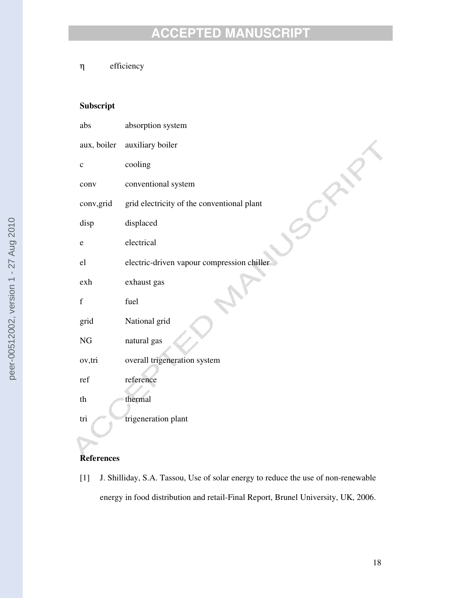η efficiency

## **Subscript**

| abs         | absorption system                          |
|-------------|--------------------------------------------|
| aux, boiler | auxiliary boiler                           |
| $\mathbf c$ | cooling                                    |
| conv        | conventional system                        |
| conv, grid  | grid electricity of the conventional plant |
| disp        | displaced                                  |
| e           | electrical                                 |
| el          | electric-driven vapour compression chiller |
| exh         | exhaust gas                                |
| f           | fuel                                       |
| grid        | National grid                              |
| $\rm NG$    | natural gas                                |
| ov,tri      | overall trigeneration system               |
| ref         | reference                                  |
| th          | thermal                                    |
| tri         | trigeneration plant                        |

## **References**

[1] J. Shilliday, S.A. Tassou, Use of solar energy to reduce the use of non-renewable energy in food distribution and retail-Final Report, Brunel University, UK, 2006.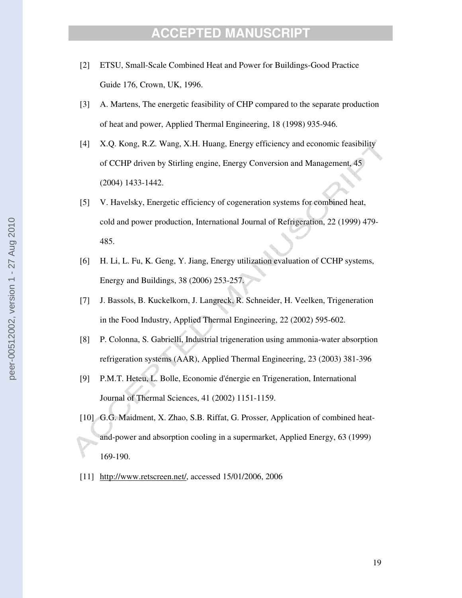- [2] ETSU, Small-Scale Combined Heat and Power for Buildings-Good Practice Guide 176, Crown, UK, 1996.
- [3] A. Martens, The energetic feasibility of CHP compared to the separate production of heat and power, Applied Thermal Engineering, 18 (1998) 935-946.
- [4] X.Q. Kong, R.Z. Wang, X.H. Huang, Energy efficiency and economic feasibility of CCHP driven by Stirling engine, Energy Conversion and Management, 45 (2004) 1433-1442.
- [5] V. Havelsky, Energetic efficiency of cogeneration systems for combined heat, cold and power production, International Journal of Refrigeration, 22 (1999) 479- 485.
- [6] H. Li, L. Fu, K. Geng, Y. Jiang, Energy utilization evaluation of CCHP systems, Energy and Buildings, 38 (2006) 253-257.
- [7] J. Bassols, B. Kuckelkorn, J. Langreck, R. Schneider, H. Veelken, Trigeneration in the Food Industry, Applied Thermal Engineering, 22 (2002) 595-602.
- [8] P. Colonna, S. Gabrielli, Industrial trigeneration using ammonia-water absorption refrigeration systems (AAR), Applied Thermal Engineering, 23 (2003) 381-396
- [9] P.M.T. Heteu, L. Bolle, Economie d'énergie en Trigeneration, International Journal of Thermal Sciences, 41 (2002) 1151-1159.
- [10] G.G. Maidment, X. Zhao, S.B. Riffat, G. Prosser, Application of combined heatand-power and absorption cooling in a supermarket, Applied Energy, 63 (1999) 169-190.
- [11] http://www.retscreen.net/, accessed 15/01/2006, 2006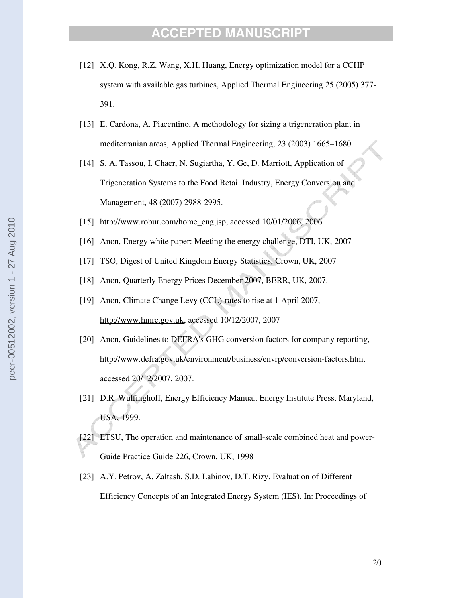- [12] X.Q. Kong, R.Z. Wang, X.H. Huang, Energy optimization model for a CCHP system with available gas turbines, Applied Thermal Engineering 25 (2005) 377- 391.
- [13] E. Cardona, A. Piacentino, A methodology for sizing a trigeneration plant in mediterranian areas, Applied Thermal Engineering, 23 (2003) 1665–1680.
- [14] S. A. Tassou, I. Chaer, N. Sugiartha, Y. Ge, D. Marriott, Application of Trigeneration Systems to the Food Retail Industry, Energy Conversion and Management, 48 (2007) 2988-2995.
- [15] http://www.robur.com/home\_eng.jsp, accessed 10/01/2006, 2006
- [16] Anon, Energy white paper: Meeting the energy challenge, DTI, UK, 2007
- [17] TSO, Digest of United Kingdom Energy Statistics, Crown, UK, 2007
- [18] Anon, Quarterly Energy Prices December 2007, BERR, UK, 2007.
- [19] Anon, Climate Change Levy (CCL)-rates to rise at 1 April 2007, http://www.hmrc.gov.uk, accessed 10/12/2007, 2007
- [20] Anon, Guidelines to DEFRA's GHG conversion factors for company reporting, http://www.defra.gov.uk/environment/business/envrp/conversion-factors.htm, accessed 20/12/2007, 2007.
- [21] D.R. Wulfinghoff, Energy Efficiency Manual, Energy Institute Press, Maryland, USA, 1999.
- [22] ETSU, The operation and maintenance of small-scale combined heat and power-Guide Practice Guide 226, Crown, UK, 1998
- [23] A.Y. Petrov, A. Zaltash, S.D. Labinov, D.T. Rizy, Evaluation of Different Efficiency Concepts of an Integrated Energy System (IES). In: Proceedings of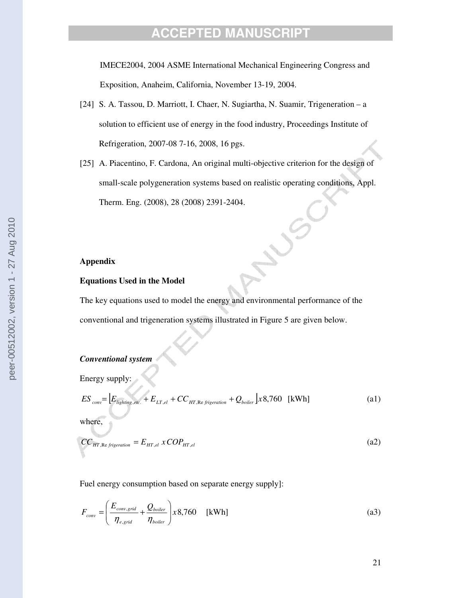IMECE2004, 2004 ASME International Mechanical Engineering Congress and Exposition, Anaheim, California, November 13-19, 2004.

- [24] S. A. Tassou, D. Marriott, I. Chaer, N. Sugiartha, N. Suamir, Trigeneration a solution to efficient use of energy in the food industry, Proceedings Institute of Refrigeration, 2007-08 7-16, 2008, 16 pgs.
- [25] A. Piacentino, F. Cardona, An original multi-objective criterion for the design of small-scale polygeneration systems based on realistic operating conditions, Appl. Therm. Eng. (2008), 28 (2008) 2391-2404.

#### **Appendix**

#### **Equations Used in the Model**

The key equations used to model the energy and environmental performance of the conventional and trigeneration systems illustrated in Figure 5 are given below.

#### *Conventional system*

Energy supply:

$$
ES_{conv} = \left[ E_{lighting, etc.} + E_{LT, el} + CC_{HT, Re frigeration} + Q_{boiler} \right] x8,760 \quad \text{[kWh]} \tag{a1}
$$

where,

$$
CC_{HT,Re frigeration} = E_{HT,el} \, x \, COP_{HT,el} \tag{a2}
$$

Fuel energy consumption based on separate energy supply]:

$$
F_{conv} = \left(\frac{E_{conv,grid}}{\eta_{e,grid}} + \frac{Q_{boiler}}{\eta_{boiler}}\right) \times 8,760 \quad \text{[kWh]}
$$
 (a3)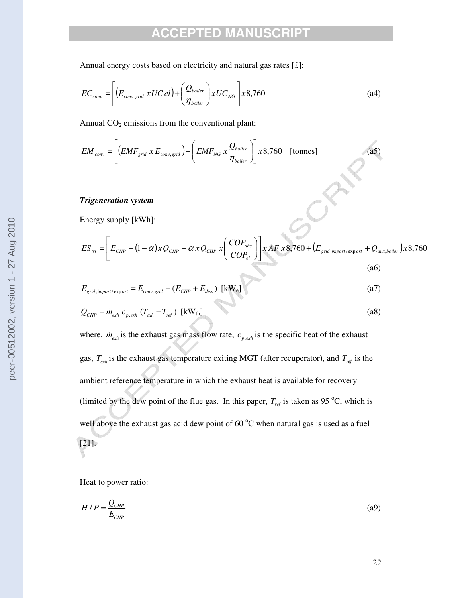Annual energy costs based on electricity and natural gas rates [£]:

$$
EC_{conv} = \left[ \left( E_{conv,grid} \, xUC \, el \right) + \left( \frac{Q_{boiler}}{\eta_{boiler}} \right) xUC_{NG} \right] x8,760 \tag{a4}
$$

Annual  $CO<sub>2</sub>$  emissions from the conventional plant:

$$
EM_{conv} = \left[ \left( EMF_{grid} \times E_{conv,grid} \right) + \left( EMF_{NG} \times \frac{Q_{boiler}}{\eta_{boiler}} \right) \right] \times 8,760 \quad \text{[tonnes]}
$$
 (a5)

### *Trigeneration system*

Energy supply [kWh]:

$$
ES_{\text{tri}} = \left[ E_{\text{CHP}} + (1 - \alpha)xQ_{\text{CHP}} + \alpha xQ_{\text{CHP}} x \left( \frac{COP_{\text{abs}}}{COP_{\text{el}}} \right) \right] xAF x8,760 + \left( E_{\text{grid,import/export}} + Q_{\text{aux,boiler}} \right) x8,760
$$
\n
$$
(a6)
$$

 $\mathcal{S}^r$ 

$$
E_{grid,import\,expr} = E_{conv,grid} - (E_{CHP} + E_{disp}) \text{ [kW_e]}
$$
\n<sup>(a7)</sup>

$$
Q_{CHP} = \dot{m}_{exh} \; c_{p,exh} \; (T_{exh} - T_{ref}) \; [\text{kW}_{th}] \tag{a8}
$$

where,  $\dot{m}_{exh}$  is the exhaust gas mass flow rate,  $c_{p,exh}$  is the specific heat of the exhaust gas,  $T_{exh}$  is the exhaust gas temperature exiting MGT (after recuperator), and  $T_{ref}$  is the ambient reference temperature in which the exhaust heat is available for recovery (limited by the dew point of the flue gas. In this paper,  $T_{ref}$  is taken as 95 °C, which is well above the exhaust gas acid dew point of  $60^{\circ}$ C when natural gas is used as a fuel [21].

Heat to power ratio:

$$
H/P = \frac{Q_{CHP}}{E_{CHP}}\tag{a9}
$$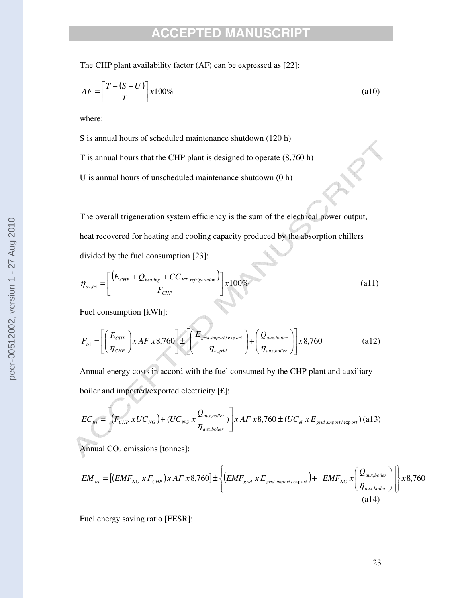The CHP plant availability factor (AF) can be expressed as [22]:

$$
AF = \left[\frac{T - (S + U)}{T}\right] x 100\%
$$
\n(a10)

where:

S is annual hours of scheduled maintenance shutdown (120 h)

T is annual hours that the CHP plant is designed to operate (8,760 h)

U is annual hours of unscheduled maintenance shutdown (0 h)

The overall trigeneration system efficiency is the sum of the electrical power output, heat recovered for heating and cooling capacity produced by the absorption chillers divided by the fuel consumption [23]:

$$
\eta_{ov,tri} = \left[ \frac{\left( E_{CHP} + Q_{heating} + CC_{HT,refrigenation}}{F_{CHP}} \right) \right] \times 100\%
$$
\n
$$
(a11)
$$

Fuel consumption [kWh]:

$$
F_{\text{tri}} = \left[ \left( \frac{E_{\text{CHP}}}{\eta_{\text{CHP}}} \right) x \, AF \, x8,760 \right] \pm \left[ \left( \frac{E_{\text{grid,import}/\text{export}}}{\eta_{\text{e,grid}}} \right) + \left( \frac{Q_{\text{aux,boiler}}}{\eta_{\text{aux,boiler}}} \right) \right] x8,760 \tag{a12}
$$

Annual energy costs in accord with the fuel consumed by the CHP plant and auxiliary boiler and imported/exported electricity [£]:

$$
EC_{\text{tri}} = \left[ \left( F_{CHP} \times UC_{NG} \right) + \left( UC_{NG} \times \frac{Q_{\text{aux,boiler}}}{\eta_{\text{aux,boiler}}} \right) \right] \times AF \times 8,760 \pm \left( UC_{el} \times E_{\text{grid,import/export}} \right) \tag{a13}
$$

Annual  $CO<sub>2</sub>$  emissions [tonnes]:

$$
EM_{tri} = [(EMF_{NG} \times F_{CHP}) \times AF \times 8,760] \pm \left\{ (EMF_{grid} \times E_{grid,import\,) + \left[ EMF_{NG} \times \left( \frac{Q_{aux, boiler}}{\eta_{aux, boiler}} \right) \right] \right\} \times 8,760
$$
\n
$$
(a14)
$$

Fuel energy saving ratio [FESR]: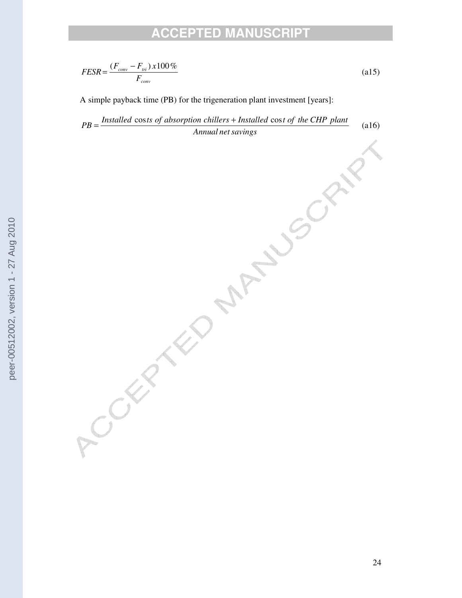$$
FESR = \frac{(F_{conv} - F_{tri}) \times 100\%}{F_{conv}}
$$
\n
$$
\tag{a15}
$$

A simple payback time (PB) for the trigeneration plant investment [years]:

*Annual netsavings*  $PB = \frac{Insteadled \ costs \ of \ absorption \ children \ -hilters + Insteadled \ cost \ of \ the \ CHP \ plant}$ (a16)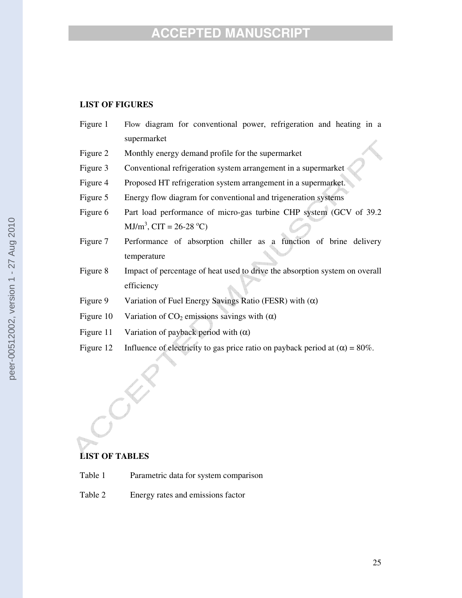### **LIST OF FIGURES**

| Figure 1  | Flow diagram for conventional power, refrigeration and heating in a         |  |  |  |
|-----------|-----------------------------------------------------------------------------|--|--|--|
|           | supermarket                                                                 |  |  |  |
| Figure 2  | Monthly energy demand profile for the supermarket                           |  |  |  |
| Figure 3  | Conventional refrigeration system arrangement in a supermarket              |  |  |  |
| Figure 4  | Proposed HT refrigeration system arrangement in a supermarket.              |  |  |  |
| Figure 5  | Energy flow diagram for conventional and trigeneration systems              |  |  |  |
| Figure 6  | Part load performance of micro-gas turbine CHP system (GCV of 39.2)         |  |  |  |
|           | $MJ/m3$ , CIT = 26-28 °C)                                                   |  |  |  |
| Figure 7  | Performance of absorption chiller as a function of brine delivery           |  |  |  |
|           | temperature                                                                 |  |  |  |
| Figure 8  | Impact of percentage of heat used to drive the absorption system on overall |  |  |  |
|           | efficiency                                                                  |  |  |  |
| Figure 9  | Variation of Fuel Energy Savings Ratio (FESR) with $(\alpha)$               |  |  |  |
| Figure 10 | Variation of $CO_2$ emissions savings with $(\alpha)$                       |  |  |  |
| Figure 11 | Variation of payback period with $(\alpha)$                                 |  |  |  |

Figure 12 Influence of electricity to gas price ratio on payback period at  $(\alpha) = 80\%$ .

## **LIST OF TABLES**

- Table 1 Parametric data for system comparison
- Table 2 Energy rates and emissions factor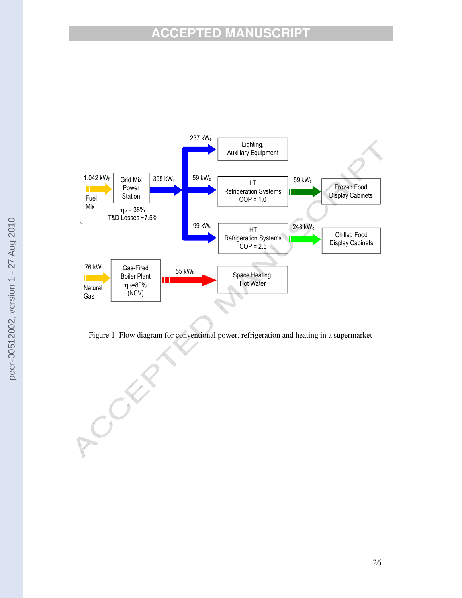



COLEY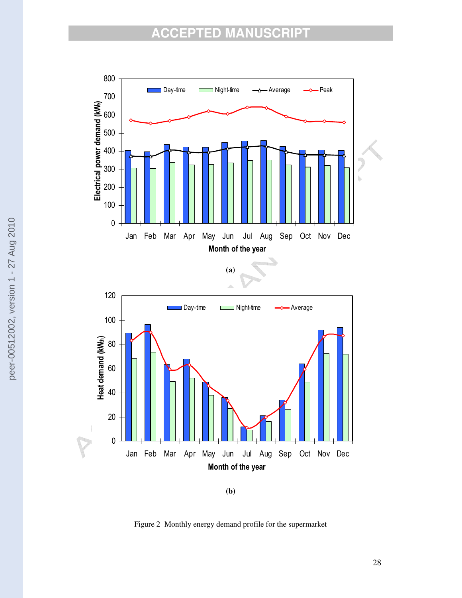

**(b)**

Figure 2 Monthly energy demand profile for the supermarket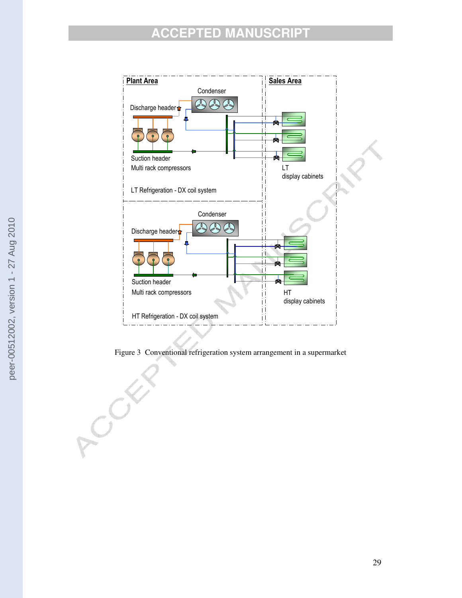

Figure 3 Conventional refrigeration system arrangement in a supermarket

ACCE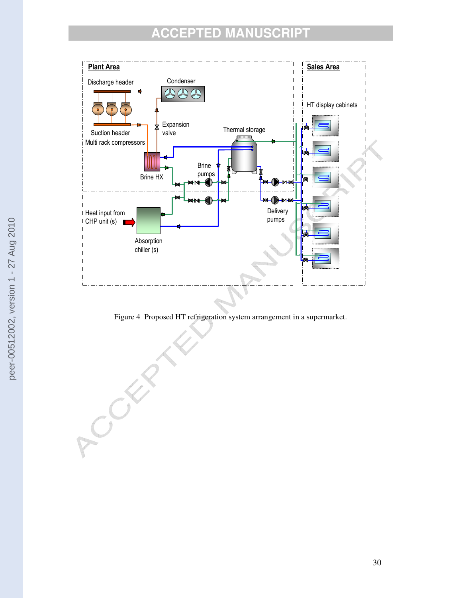

Figure 4 Proposed HT refrigeration system arrangement in a supermarket.

ACCEPT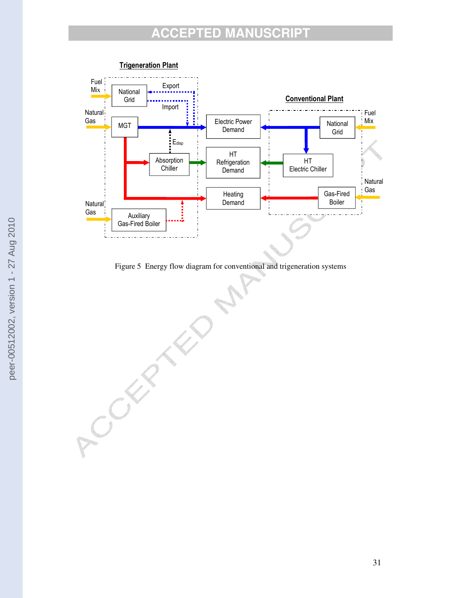

Figure 5 Energy flow diagram for conventional and trigeneration systems

CORNEL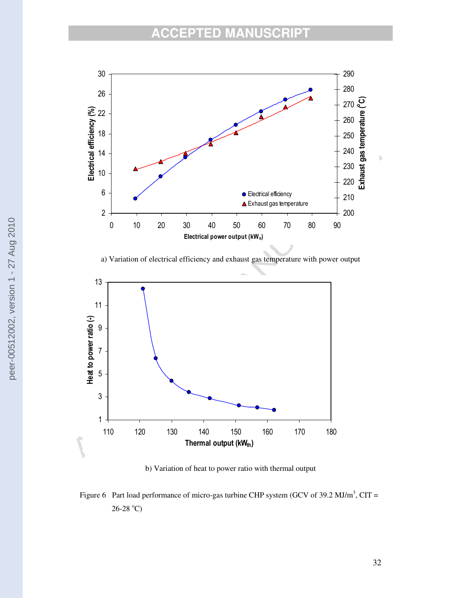

a) Variation of electrical efficiency and exhaust gas temperature with power output



b) Variation of heat to power ratio with thermal output

Figure 6 Part load performance of micro-gas turbine CHP system (GCV of 39.2 MJ/m<sup>3</sup>, CIT =  $26 - 28$  °C)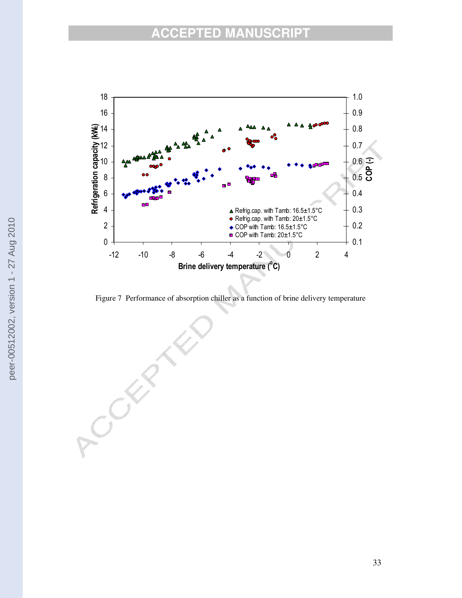

Figure 7 Performance of absorption chiller as a function of brine delivery temperature

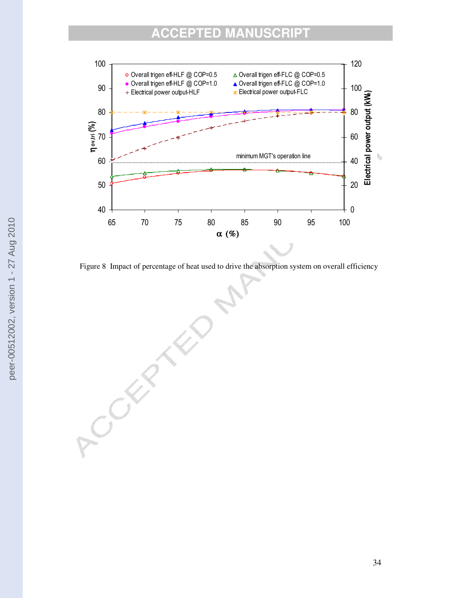

Figure 8 Impact of percentage of heat used to drive the absorption system on overall efficiency

ROCK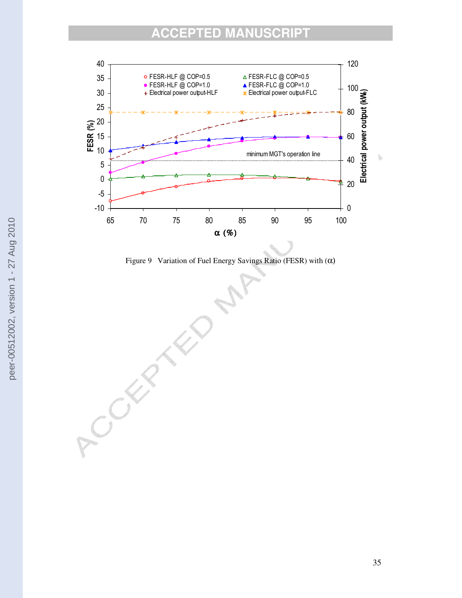

Figure 9 Variation of Fuel Energy Savings Ratio (FESR) with (α)

ACCES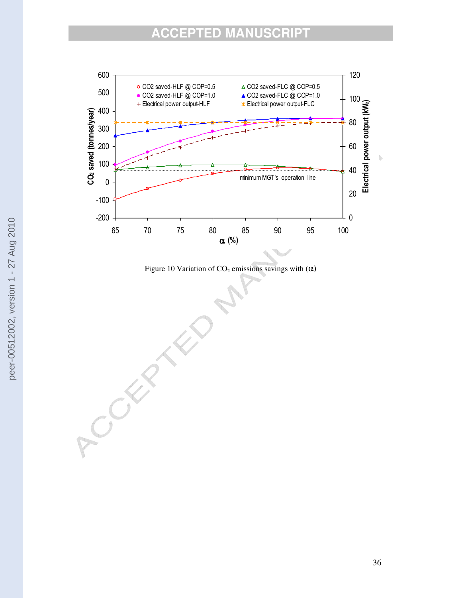

Figure 10 Variation of  $CO<sub>2</sub>$  emissions savings with ( $\alpha$ )

ACCEPTE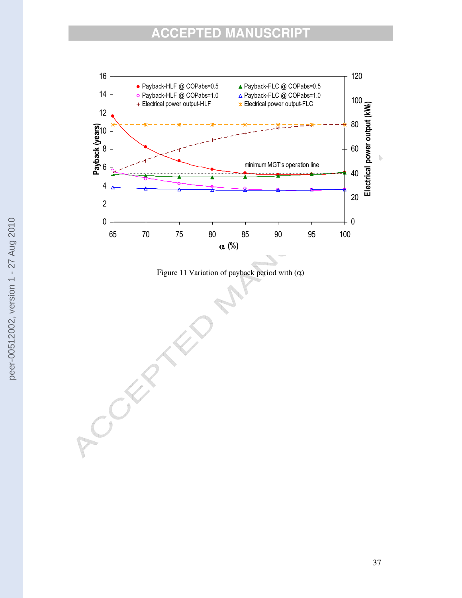

Figure 11 Variation of payback period with (α)

ACCEPT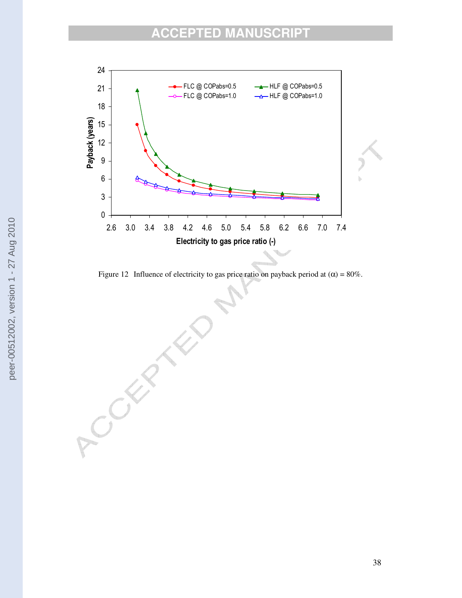

Figure 12 Influence of electricity to gas price ratio on payback period at  $(\alpha) = 80\%$ .

COLLE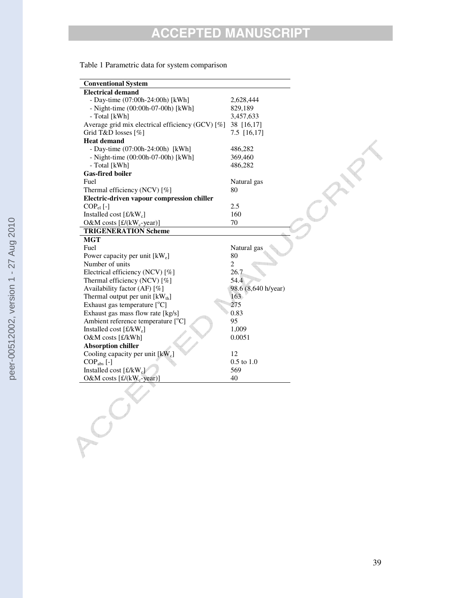|  |  | Table 1 Parametric data for system comparison |
|--|--|-----------------------------------------------|
|  |  |                                               |

| <b>Conventional System</b>                               |                     |
|----------------------------------------------------------|---------------------|
| <b>Electrical demand</b>                                 |                     |
| - Day-time (07:00h-24:00h) [kWh]                         | 2,628,444           |
| - Night-time $(00:00h-07-00h)$ [kWh]                     | 829,189             |
| - Total [kWh]                                            | 3,457,633           |
| Average grid mix electrical efficiency (GCV) [%]         | 38 [16,17]          |
| Grid T&D losses [%]                                      | 7.5 [16,17]         |
| <b>Heat demand</b>                                       |                     |
| - Day-time (07:00h-24:00h) [kWh]                         | 486,282             |
| - Night-time (00:00h-07-00h) [kWh]                       | 369,460             |
| - Total [kWh]                                            | 486,282             |
| <b>Gas-fired boiler</b>                                  |                     |
| Fuel                                                     | Natural gas         |
| Thermal efficiency (NCV) [%]                             | 80                  |
| Electric-driven vapour compression chiller               |                     |
| $COP_{el}$ [-]                                           | 2.5                 |
| Installed cost $[\text{\pounds}/kW_c]$                   | 160                 |
| O&M costs [£/(kW <sub>c</sub> -year)]                    | 70                  |
| <b>TRIGENERATION Scheme</b>                              |                     |
| <b>MGT</b>                                               |                     |
| Fuel                                                     | Natural gas         |
| Power capacity per unit [kW <sub>e</sub> ]               | 80                  |
| Number of units                                          | $\overline{c}$      |
| Electrical efficiency (NCV) [%]                          | 26.7                |
| Thermal efficiency (NCV) [%]                             | 54.4                |
| Availability factor (AF) [%]                             | 98.6 (8,640 h/year) |
| Thermal output per unit $\text{[kW}_{\text{th}}\text{]}$ | 163                 |
| Exhaust gas temperature $[°C]$                           | 275                 |
| Exhaust gas mass flow rate [kg/s]                        | 0.83                |
| Ambient reference temperature $[°C]$                     | 95                  |
| Installed cost $[\text{\pounds}/kW_e]$                   | 1,009               |
| O&M costs [£/kWh]                                        | 0.0051              |
| <b>Absorption chiller</b>                                |                     |
| Cooling capacity per unit $[kW_c]$                       | 12                  |
| $COPabs$ [-]                                             | $0.5$ to $1.0\,$    |
| Installed cost $[\text{\pounds}/kW_{c}]$                 | 569                 |
| O&M costs $[f/(kW_c-year)]$                              | 40                  |